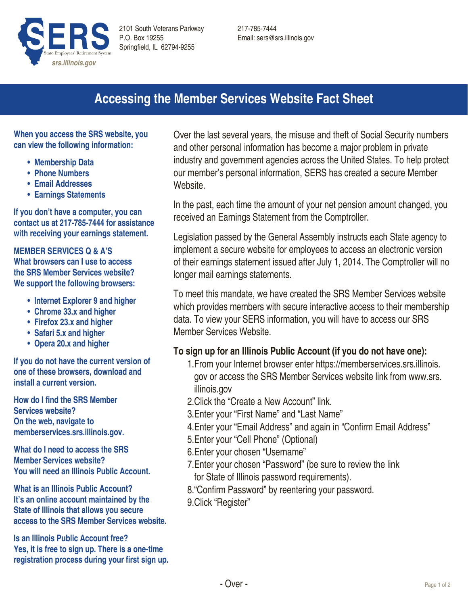

217-785-7444 Email: sers@srs.illinois.gov

# **Accessing the Member Services Website Fact Sheet**

**When you access the SRS website, you can view the following information:**

- **• Membership Data**
- **• Phone Numbers**
- **• Email Addresses**
- **• Earnings Statements**

**If you don't have a computer, you can contact us at 217-785-7444 for assistance with receiving your earnings statement.**

#### **Member Services Q & A's**

**What browsers can I use to access the SRS Member Services website? We support the following browsers:**

- **• Internet Explorer 9 and higher**
- **• Chrome 33.x and higher**
- **• Firefox 23.x and higher**
- **• Safari 5.x and higher**
- **• Opera 20.x and higher**

**If you do not have the current version of one of these browsers, download and install a current version.**

**How do I find the SRS Member Services website? On the web, navigate to memberservices.srs.illinois.gov.** 

**What do I need to access the SRS Member Services website? You will need an Illinois Public Account.**

**What is an Illinois Public Account? It's an online account maintained by the State of Illinois that allows you secure access to the SRS Member Services website.**

**Is an Illinois Public Account free? Yes, it is free to sign up. There is a one-time registration process during your first sign up.**

Over the last several years, the misuse and theft of Social Security numbers and other personal information has become a major problem in private industry and government agencies across the United States. To help protect our member's personal information, SERS has created a secure Member Website.

In the past, each time the amount of your net pension amount changed, you received an Earnings Statement from the Comptroller.

Legislation passed by the General Assembly instructs each State agency to implement a secure website for employees to access an electronic version of their earnings statement issued after July 1, 2014. The Comptroller will no longer mail earnings statements.

To meet this mandate, we have created the SRS Member Services website which provides members with secure interactive access to their membership data. To view your SERS information, you will have to access our SRS Member Services Website.

## **To sign up for an Illinois Public Account (if you do not have one):**

- 1.From your Internet browser enter https://memberservices.srs.illinois. gov or access the SRS Member Services website link from www.srs. illinois.gov
- 2.Click the "Create a New Account" link.
- 3.Enter your "First Name" and "Last Name"
- 4.Enter your "Email Address" and again in "Confirm Email Address"
- 5.Enter your "Cell Phone" (Optional)
- 6.Enter your chosen "Username"
- 7.Enter your chosen "Password" (be sure to review the link for State of Illinois password requirements).
- 8."Confirm Password" by reentering your password.
- 9.Click "Register"